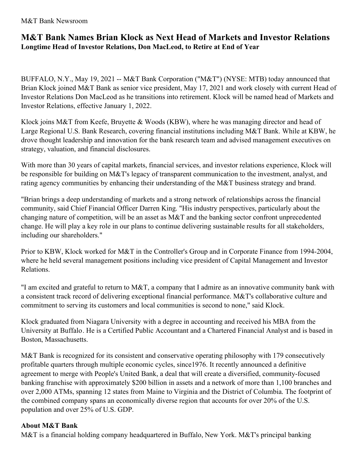M&T Bank Newsroom

## **M&T Bank Names Brian Klock as Next Head of Markets and Investor Relations Longtime Head of Investor Relations, Don MacLeod, to Retire at End of Year**

BUFFALO, N.Y., May 19, 2021 -- M&T Bank Corporation ("M&T") (NYSE: MTB) today announced that Brian Klock joined M&T Bank as senior vice president, May 17, 2021 and work closely with current Head of Investor Relations Don MacLeod as he transitions into retirement. Klock will be named head of Markets and Investor Relations, effective January 1, 2022.

Klock joins M&T from Keefe, Bruyette & Woods (KBW), where he was managing director and head of Large Regional U.S. Bank Research, covering financial institutions including M&T Bank. While at KBW, he drove thought leadership and innovation for the bank research team and advised management executives on strategy, valuation, and financial disclosures.

With more than 30 years of capital markets, financial services, and investor relations experience, Klock will be responsible for building on M&T's legacy of transparent communication to the investment, analyst, and rating agency communities by enhancing their understanding of the M&T business strategy and brand.

"Brian brings a deep understanding of markets and a strong network of relationships across the financial community, said Chief Financial Officer Darren King. "His industry perspectives, particularly about the changing nature of competition, will be an asset as M&T and the banking sector confront unprecedented change. He will play a key role in our plans to continue delivering sustainable results for all stakeholders, including our shareholders."

Prior to KBW, Klock worked for M&T in the Controller's Group and in Corporate Finance from 1994-2004, where he held several management positions including vice president of Capital Management and Investor Relations.

"I am excited and grateful to return to M&T, a company that I admire as an innovative community bank with a consistent track record of delivering exceptional financial performance. M&T's collaborative culture and commitment to serving its customers and local communities is second to none," said Klock.

Klock graduated from Niagara University with a degree in accounting and received his MBA from the University at Buffalo. He is a Certified Public Accountant and a Chartered Financial Analyst and is based in Boston, Massachusetts.

M&T Bank is recognized for its consistent and conservative operating philosophy with 179 consecutively profitable quarters through multiple economic cycles, since1976. It recently announced a definitive agreement to merge with People's United Bank, a deal that will create a diversified, community-focused banking franchise with approximately \$200 billion in assets and a network of more than 1,100 branches and over 2,000 ATMs, spanning 12 states from Maine to Virginia and the District of Columbia. The footprint of the combined company spans an economically diverse region that accounts for over 20% of the U.S. population and over 25% of U.S. GDP.

## **About M&T Bank**

M&T is a financial holding company headquartered in Buffalo, New York. M&T's principal banking